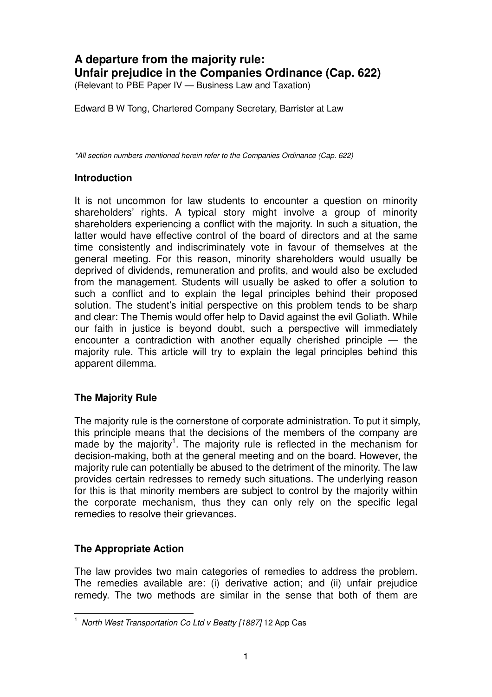# **A departure from the majority rule: Unfair prejudice in the Companies Ordinance (Cap. 622)**

(Relevant to PBE Paper IV — Business Law and Taxation)

Edward B W Tong, Chartered Company Secretary, Barrister at Law

\*All section numbers mentioned herein refer to the Companies Ordinance (Cap. 622)

### **Introduction**

It is not uncommon for law students to encounter a question on minority shareholders' rights. A typical story might involve a group of minority shareholders experiencing a conflict with the majority. In such a situation, the latter would have effective control of the board of directors and at the same time consistently and indiscriminately vote in favour of themselves at the general meeting. For this reason, minority shareholders would usually be deprived of dividends, remuneration and profits, and would also be excluded from the management. Students will usually be asked to offer a solution to such a conflict and to explain the legal principles behind their proposed solution. The student's initial perspective on this problem tends to be sharp and clear: The Themis would offer help to David against the evil Goliath. While our faith in justice is beyond doubt, such a perspective will immediately encounter a contradiction with another equally cherished principle — the majority rule. This article will try to explain the legal principles behind this apparent dilemma.

### **The Majority Rule**

The majority rule is the cornerstone of corporate administration. To put it simply, this principle means that the decisions of the members of the company are made by the majority<sup>1</sup>. The majority rule is reflected in the mechanism for decision-making, both at the general meeting and on the board. However, the majority rule can potentially be abused to the detriment of the minority. The law provides certain redresses to remedy such situations. The underlying reason for this is that minority members are subject to control by the majority within the corporate mechanism, thus they can only rely on the specific legal remedies to resolve their grievances.

### **The Appropriate Action**

l

The law provides two main categories of remedies to address the problem. The remedies available are: (i) derivative action; and (ii) unfair prejudice remedy. The two methods are similar in the sense that both of them are

<sup>&</sup>lt;sup>1</sup> North West Transportation Co Ltd v Beatty [1887] 12 App Cas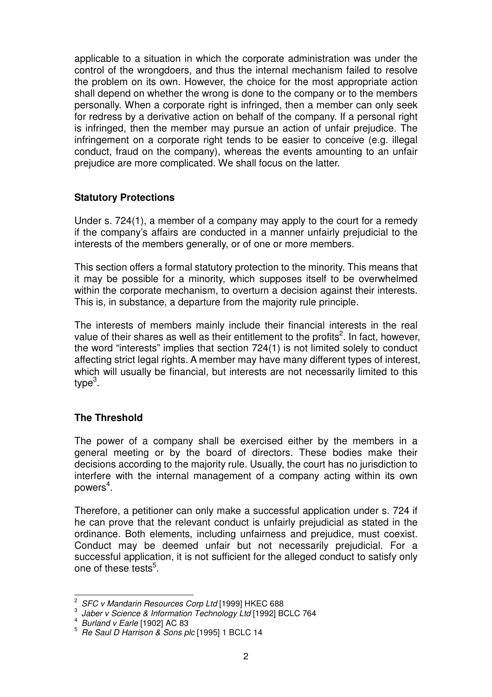applicable to a situation in which the corporate administration was under the control of the wrongdoers, and thus the internal mechanism failed to resolve the problem on its own. However, the choice for the most appropriate action shall depend on whether the wrong is done to the company or to the members personally. When a corporate right is infringed, then a member can only seek for redress by a derivative action on behalf of the company. If a personal right is infringed, then the member may pursue an action of unfair prejudice. The infringement on a corporate right tends to be easier to conceive (e.g. illegal conduct, fraud on the company), whereas the events amounting to an unfair prejudice are more complicated. We shall focus on the latter.

### **Statutory Protections**

Under s. 724(1), a member of a company may apply to the court for a remedy if the company's affairs are conducted in a manner unfairly prejudicial to the interests of the members generally, or of one or more members.

This section offers a formal statutory protection to the minority. This means that it may be possible for a minority, which supposes itself to be overwhelmed within the corporate mechanism, to overturn a decision against their interests. This is, in substance, a departure from the majority rule principle.

The interests of members mainly include their financial interests in the real value of their shares as well as their entitlement to the profits<sup>2</sup>. In fact, however, the word "interests" implies that section 724(1) is not limited solely to conduct affecting strict legal rights. A member may have many different types of interest, which will usually be financial, but interests are not necessarily limited to this type<sup>3</sup>.

# **The Threshold**

The power of a company shall be exercised either by the members in a general meeting or by the board of directors. These bodies make their decisions according to the majority rule. Usually, the court has no jurisdiction to interfere with the internal management of a company acting within its own powers $\mathrm{^4.}$ 

Therefore, a petitioner can only make a successful application under s. 724 if he can prove that the relevant conduct is unfairly prejudicial as stated in the ordinance. Both elements, including unfairness and prejudice, must coexist. Conduct may be deemed unfair but not necessarily prejudicial. For a successful application, it is not sufficient for the alleged conduct to satisfy only one of these tests<sup>5</sup>.

 $\overline{a}$ 

<sup>&</sup>lt;sup>2</sup> SFC v Mandarin Resources Corp Ltd [1999] HKEC 688

 $3$  Jaber v Science & Information Technology Ltd [1992] BCLC 764

 $^4$  Burland v Earle [1902] AC 83

<sup>5</sup> Re Saul D Harrison & Sons plc [1995] 1 BCLC 14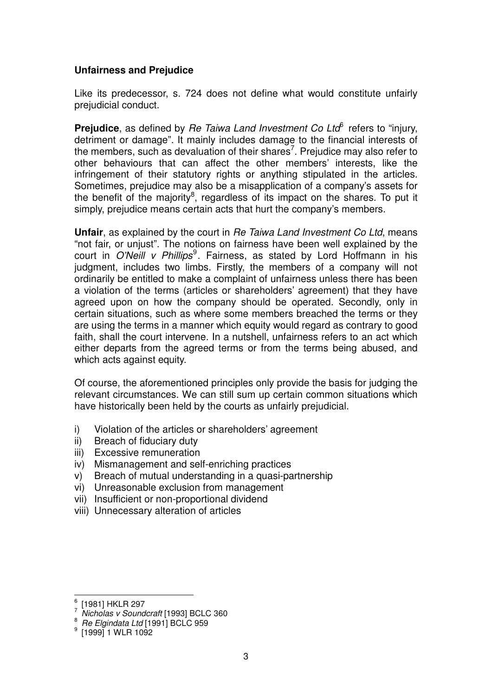#### **Unfairness and Prejudice**

Like its predecessor, s. 724 does not define what would constitute unfairly prejudicial conduct.

Prejudice, as defined by Re Taiwa Land Investment Co Ltd<sup>6</sup> refers to "injury, detriment or damage". It mainly includes damage to the financial interests of the members, such as devaluation of their shares<sup>7</sup>. Prejudice may also refer to other behaviours that can affect the other members' interests, like the infringement of their statutory rights or anything stipulated in the articles. Sometimes, prejudice may also be a misapplication of a company's assets for the benefit of the majority<sup>8</sup>, regardless of its impact on the shares. To put it simply, prejudice means certain acts that hurt the company's members.

**Unfair**, as explained by the court in Re Taiwa Land Investment Co Ltd, means "not fair, or unjust". The notions on fairness have been well explained by the court in O'Neill v Phillips<sup>9</sup>. Fairness, as stated by Lord Hoffmann in his judgment, includes two limbs. Firstly, the members of a company will not ordinarily be entitled to make a complaint of unfairness unless there has been a violation of the terms (articles or shareholders' agreement) that they have agreed upon on how the company should be operated. Secondly, only in certain situations, such as where some members breached the terms or they are using the terms in a manner which equity would regard as contrary to good faith, shall the court intervene. In a nutshell, unfairness refers to an act which either departs from the agreed terms or from the terms being abused, and which acts against equity.

Of course, the aforementioned principles only provide the basis for judging the relevant circumstances. We can still sum up certain common situations which have historically been held by the courts as unfairly prejudicial.

- i) Violation of the articles or shareholders' agreement
- ii) Breach of fiduciary duty
- iii) Excessive remuneration
- iv) Mismanagement and self-enriching practices
- v) Breach of mutual understanding in a quasi-partnership
- vi) Unreasonable exclusion from management
- vii) Insufficient or non-proportional dividend
- viii) Unnecessary alteration of articles

 $\overline{a}$ 

<sup>6</sup> [1981] HKLR 297

 $7$  Nicholas v Soundcraft [1993] BCLC 360

 $8$  Re Elgindata Ltd [1991] BCLC 959

<sup>9</sup> [1999] 1 WLR 1092